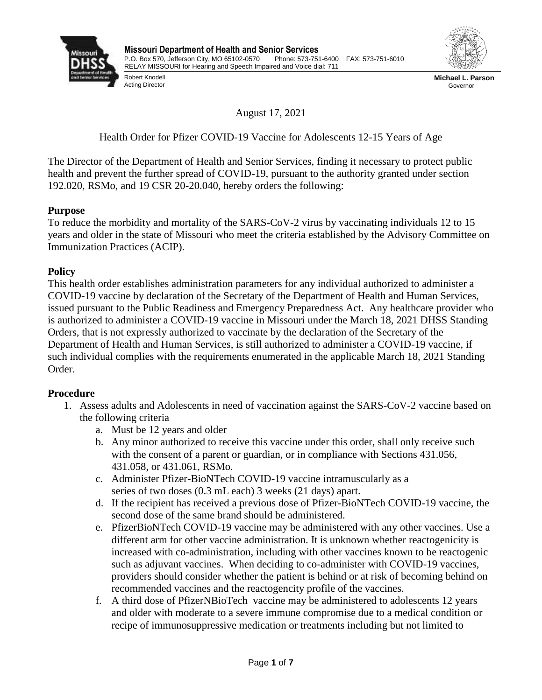



Robert Knodell Acting Director

**Michael L. Parson** Governor

August 17, 2021

Health Order for Pfizer COVID-19 Vaccine for Adolescents 12-15 Years of Age

The Director of the Department of Health and Senior Services, finding it necessary to protect public health and prevent the further spread of COVID-19, pursuant to the authority granted under section 192.020, RSMo, and 19 CSR 20-20.040, hereby orders the following:

## **Purpose**

To reduce the morbidity and mortality of the SARS-CoV-2 virus by vaccinating individuals 12 to 15 years and older in the state of Missouri who meet the criteria established by the Advisory Committee on Immunization Practices (ACIP).

## **Policy**

This health order establishes administration parameters for any individual authorized to administer a COVID-19 vaccine by declaration of the Secretary of the Department of Health and Human Services, issued pursuant to the Public Readiness and Emergency Preparedness Act. Any healthcare provider who is authorized to administer a COVID-19 vaccine in Missouri under the March 18, 2021 DHSS Standing Orders, that is not expressly authorized to vaccinate by the declaration of the Secretary of the Department of Health and Human Services, is still authorized to administer a COVID-19 vaccine, if such individual complies with the requirements enumerated in the applicable March 18, 2021 Standing Order.

## **Procedure**

- 1. Assess adults and Adolescents in need of vaccination against the SARS-CoV-2 vaccine based on the following criteria
	- a. Must be 12 years and older
	- b. Any minor authorized to receive this vaccine under this order, shall only receive such with the consent of a parent or guardian, or in compliance with Sections 431.056, 431.058, or 431.061, RSMo.
	- c. Administer Pfizer-BioNTech COVID-19 vaccine intramuscularly as a series of two doses (0.3 mL each) 3 weeks (21 days) apart.
	- d. If the recipient has received a previous dose of Pfizer-BioNTech COVID-19 vaccine, the second dose of the same brand should be administered.
	- e. PfizerBioNTech COVID-19 vaccine may be administered with any other vaccines. Use a different arm for other vaccine administration. It is unknown whether reactogenicity is increased with co-administration, including with other vaccines known to be reactogenic such as adjuvant vaccines. When deciding to co-administer with COVID-19 vaccines, providers should consider whether the patient is behind or at risk of becoming behind on recommended vaccines and the reactogencity profile of the vaccines.
	- f. A third dose of PfizerNBioTech vaccine may be administered to adolescents 12 years and older with moderate to a severe immune compromise due to a medical condition or recipe of immunosuppressive medication or treatments including but not limited to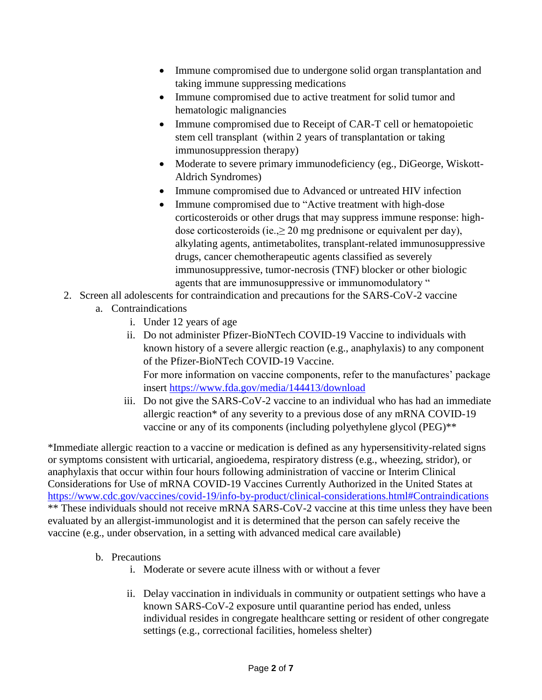- Immune compromised due to undergone solid organ transplantation and taking immune suppressing medications
- Immune compromised due to active treatment for solid tumor and hematologic malignancies
- Immune compromised due to Receipt of CAR-T cell or hematopoietic stem cell transplant (within 2 years of transplantation or taking immunosuppression therapy)
- Moderate to severe primary immunodeficiency (eg., DiGeorge, Wiskott-Aldrich Syndromes)
- Immune compromised due to Advanced or untreated HIV infection
- Immune compromised due to "Active treatment with high-dose" corticosteroids or other drugs that may suppress immune response: highdose corticosteroids (ie., $\geq 20$  mg prednisone or equivalent per day), alkylating agents, antimetabolites, transplant-related immunosuppressive drugs, cancer chemotherapeutic agents classified as severely immunosuppressive, tumor-necrosis (TNF) blocker or other biologic agents that are immunosuppressive or immunomodulatory "
- 2. Screen all adolescents for contraindication and precautions for the SARS-CoV-2 vaccine
	- a. Contraindications
		- i. Under 12 years of age
		- ii. Do not administer Pfizer-BioNTech COVID-19 Vaccine to individuals with known history of a severe allergic reaction (e.g., anaphylaxis) to any component of the Pfizer-BioNTech COVID-19 Vaccine. For more information on vaccine components, refer to the manufactures' package insert https://www.fda.gov/media/144413/download
		- iii. Do not give the SARS-CoV-2 vaccine to an individual who has had an immediate allergic reaction\* of any severity to a previous dose of any mRNA COVID-19 vaccine or any of its components (including polyethylene glycol (PEG)\*\*

\*Immediate allergic reaction to a vaccine or medication is defined as any hypersensitivity-related signs or symptoms consistent with urticarial, angioedema, respiratory distress (e.g., wheezing, stridor), or anaphylaxis that occur within four hours following administration of vaccine or Interim Clinical Considerations for Use of mRNA COVID-19 Vaccines Currently Authorized in the United States at <https://www.cdc.gov/vaccines/covid-19/info-by-product/clinical-considerations.html#Contraindications> \*\* These individuals should not receive mRNA SARS-CoV-2 vaccine at this time unless they have been evaluated by an allergist-immunologist and it is determined that the person can safely receive the vaccine (e.g., under observation, in a setting with advanced medical care available)

- b. Precautions
	- i. Moderate or severe acute illness with or without a fever
	- ii. Delay vaccination in individuals in community or outpatient settings who have a known SARS-CoV-2 exposure until quarantine period has ended, unless individual resides in congregate healthcare setting or resident of other congregate settings (e.g., correctional facilities, homeless shelter)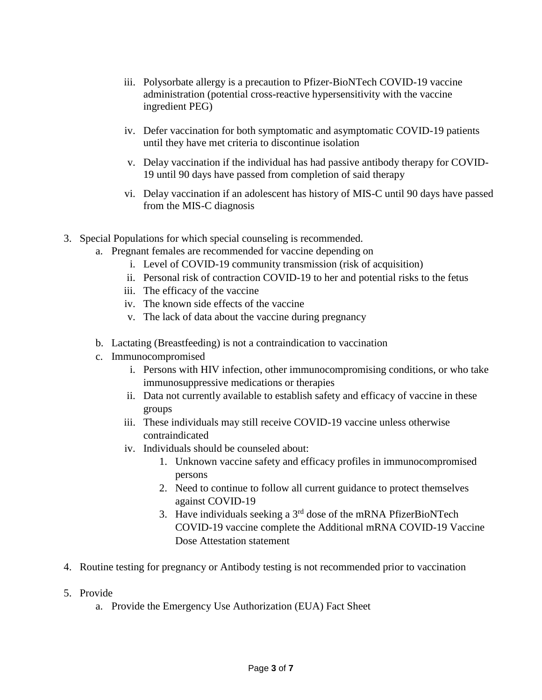- iii. Polysorbate allergy is a precaution to Pfizer-BioNTech COVID-19 vaccine administration (potential cross-reactive hypersensitivity with the vaccine ingredient PEG)
- iv. Defer vaccination for both symptomatic and asymptomatic COVID-19 patients until they have met criteria to discontinue isolation
- v. Delay vaccination if the individual has had passive antibody therapy for COVID-19 until 90 days have passed from completion of said therapy
- vi. Delay vaccination if an adolescent has history of MIS-C until 90 days have passed from the MIS-C diagnosis
- 3. Special Populations for which special counseling is recommended.
	- a. Pregnant females are recommended for vaccine depending on
		- i. Level of COVID-19 community transmission (risk of acquisition)
		- ii. Personal risk of contraction COVID-19 to her and potential risks to the fetus
		- iii. The efficacy of the vaccine
		- iv. The known side effects of the vaccine
		- v. The lack of data about the vaccine during pregnancy
	- b. Lactating (Breastfeeding) is not a contraindication to vaccination
	- c. Immunocompromised
		- i. Persons with HIV infection, other immunocompromising conditions, or who take immunosuppressive medications or therapies
		- ii. Data not currently available to establish safety and efficacy of vaccine in these groups
		- iii. These individuals may still receive COVID-19 vaccine unless otherwise contraindicated
		- iv. Individuals should be counseled about:
			- 1. Unknown vaccine safety and efficacy profiles in immunocompromised persons
			- 2. Need to continue to follow all current guidance to protect themselves against COVID-19
			- 3. Have individuals seeking a  $3<sup>rd</sup>$  dose of the mRNA PfizerBioNTech COVID-19 vaccine complete the Additional mRNA COVID-19 Vaccine Dose Attestation statement
- 4. Routine testing for pregnancy or Antibody testing is not recommended prior to vaccination
- 5. Provide
	- a. Provide the Emergency Use Authorization (EUA) Fact Sheet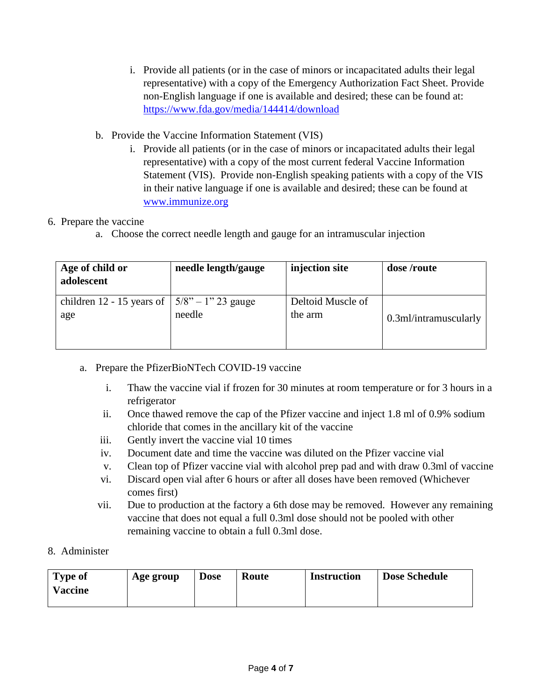- i. Provide all patients (or in the case of minors or incapacitated adults their legal representative) with a copy of the Emergency Authorization Fact Sheet. Provide non-English language if one is available and desired; these can be found at: <https://www.fda.gov/media/144414/download>
- b. Provide the Vaccine Information Statement (VIS)
	- i. Provide all patients (or in the case of minors or incapacitated adults their legal representative) with a copy of the most current federal Vaccine Information Statement (VIS). Provide non-English speaking patients with a copy of the VIS in their native language if one is available and desired; these can be found at [www.immunize.org](http://www.immunize.org/)

## 6. Prepare the vaccine

a. Choose the correct needle length and gauge for an intramuscular injection

| Age of child or<br>adolescent | needle length/gauge   | injection site    | dose /route           |
|-------------------------------|-----------------------|-------------------|-----------------------|
| children $12 - 15$ years of   | $5/8$ " – 1" 23 gauge | Deltoid Muscle of |                       |
| age                           | needle                | the arm           | 0.3ml/intramuscularly |

- a. Prepare the PfizerBioNTech COVID-19 vaccine
	- i. Thaw the vaccine vial if frozen for 30 minutes at room temperature or for 3 hours in a refrigerator
	- ii. Once thawed remove the cap of the Pfizer vaccine and inject 1.8 ml of 0.9% sodium chloride that comes in the ancillary kit of the vaccine
	- iii. Gently invert the vaccine vial 10 times
	- iv. Document date and time the vaccine was diluted on the Pfizer vaccine vial
	- v. Clean top of Pfizer vaccine vial with alcohol prep pad and with draw 0.3ml of vaccine
	- vi. Discard open vial after 6 hours or after all doses have been removed (Whichever comes first)
	- vii. Due to production at the factory a 6th dose may be removed. However any remaining vaccine that does not equal a full 0.3ml dose should not be pooled with other remaining vaccine to obtain a full 0.3ml dose.
- 8. Administer

| <b>Type of</b> | Age group | <b>Dose</b> | <b>Route</b> | Instruction | <b>Dose Schedule</b> |
|----------------|-----------|-------------|--------------|-------------|----------------------|
| <b>Vaccine</b> |           |             |              |             |                      |
|                |           |             |              |             |                      |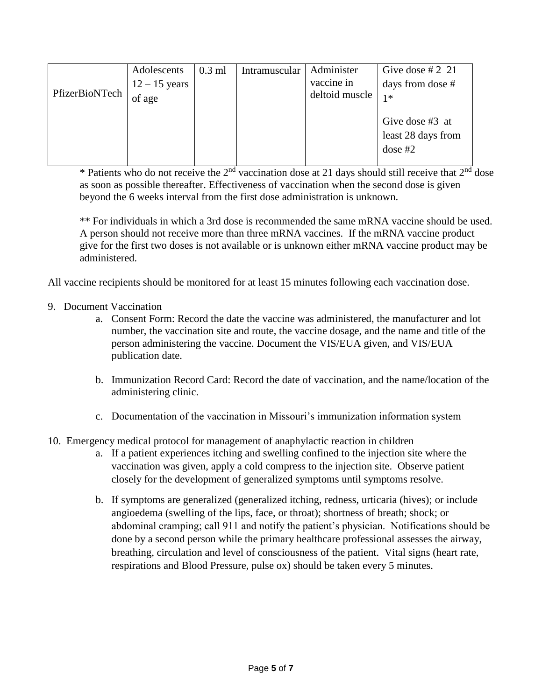|                | Adolescents     | $0.3$ ml | Intramuscular | Administer     | Give dose # 2 21   |
|----------------|-----------------|----------|---------------|----------------|--------------------|
| PfizerBioNTech | $12 - 15$ years |          |               | vaccine in     | days from dose #   |
|                | of age          |          |               | deltoid muscle | $1*$               |
|                |                 |          |               |                |                    |
|                |                 |          |               |                | Give dose #3 at    |
|                |                 |          |               |                | least 28 days from |
|                |                 |          |               |                | dose $#2$          |
|                |                 |          |               |                |                    |

\* Patients who do not receive the  $2<sup>nd</sup>$  vaccination dose at 21 days should still receive that  $2<sup>nd</sup>$  dose as soon as possible thereafter. Effectiveness of vaccination when the second dose is given beyond the 6 weeks interval from the first dose administration is unknown.

\*\* For individuals in which a 3rd dose is recommended the same mRNA vaccine should be used. A person should not receive more than three mRNA vaccines. If the mRNA vaccine product give for the first two doses is not available or is unknown either mRNA vaccine product may be administered.

All vaccine recipients should be monitored for at least 15 minutes following each vaccination dose.

- 9. Document Vaccination
	- a. Consent Form: Record the date the vaccine was administered, the manufacturer and lot number, the vaccination site and route, the vaccine dosage, and the name and title of the person administering the vaccine. Document the VIS/EUA given, and VIS/EUA publication date.
	- b. Immunization Record Card: Record the date of vaccination, and the name/location of the administering clinic.
	- c. Documentation of the vaccination in Missouri's immunization information system
- 10. Emergency medical protocol for management of anaphylactic reaction in children
	- a. If a patient experiences itching and swelling confined to the injection site where the vaccination was given, apply a cold compress to the injection site. Observe patient closely for the development of generalized symptoms until symptoms resolve.
	- b. If symptoms are generalized (generalized itching, redness, urticaria (hives); or include angioedema (swelling of the lips, face, or throat); shortness of breath; shock; or abdominal cramping; call 911 and notify the patient's physician. Notifications should be done by a second person while the primary healthcare professional assesses the airway, breathing, circulation and level of consciousness of the patient. Vital signs (heart rate, respirations and Blood Pressure, pulse ox) should be taken every 5 minutes.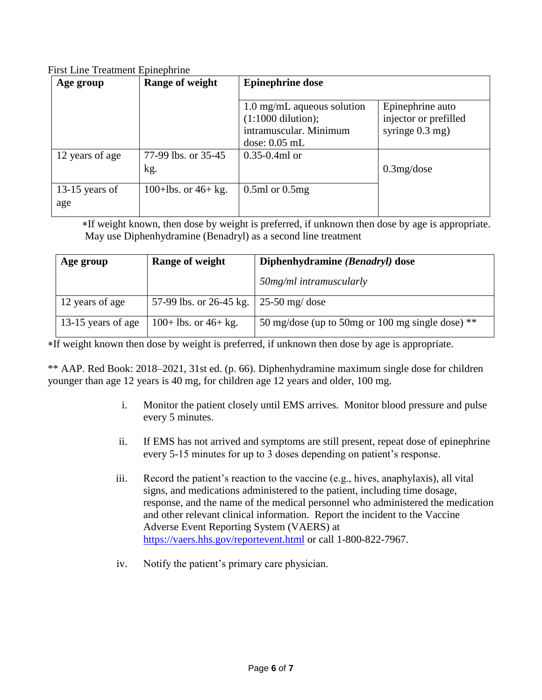First Line Treatment Epinephrine

| Age group             | Range of weight       | <b>Epinephrine dose</b>                                                                                                 |                                                                |  |
|-----------------------|-----------------------|-------------------------------------------------------------------------------------------------------------------------|----------------------------------------------------------------|--|
| 12 years of age       | 77-99 lbs. or 35-45   | $1.0$ mg/mL aqueous solution<br>$(1:1000$ dilution);<br>intramuscular. Minimum<br>$dose: 0.05$ mL<br>$0.35 - 0.4$ ml or | Epinephrine auto<br>injector or prefilled<br>syringe $0.3$ mg) |  |
|                       | kg.                   |                                                                                                                         | $0.3$ mg/dose                                                  |  |
| 13-15 years of<br>age | 100+lbs. or $46+$ kg. | $0.5$ ml or $0.5$ mg                                                                                                    |                                                                |  |

 If weight known, then dose by weight is preferred, if unknown then dose by age is appropriate. May use Diphenhydramine (Benadryl) as a second line treatment

| Age group          | Range of weight                          | Diphenhydramine (Benadryl) dose                     |  |
|--------------------|------------------------------------------|-----------------------------------------------------|--|
|                    |                                          | 50mg/ml intramuscularly                             |  |
| 12 years of age    | 57-99 lbs. or 26-45 kg.   25-50 mg/ dose |                                                     |  |
| 13-15 years of age | $100+$ lbs. or 46+ kg.                   | 50 mg/dose (up to 50 mg or 100 mg single dose) $**$ |  |

If weight known then dose by weight is preferred, if unknown then dose by age is appropriate.

\*\* AAP. Red Book: 2018–2021, 31st ed. (p. 66). Diphenhydramine maximum single dose for children younger than age 12 years is 40 mg, for children age 12 years and older, 100 mg.

- i. Monitor the patient closely until EMS arrives. Monitor blood pressure and pulse every 5 minutes.
- ii. If EMS has not arrived and symptoms are still present, repeat dose of epinephrine every 5-15 minutes for up to 3 doses depending on patient's response.
- iii. Record the patient's reaction to the vaccine (e.g., hives, anaphylaxis), all vital signs, and medications administered to the patient, including time dosage, response, and the name of the medical personnel who administered the medication and other relevant clinical information. Report the incident to the Vaccine Adverse Event Reporting System (VAERS) at <https://vaers.hhs.gov/reportevent.html> or call 1-800-822-7967.
- iv. Notify the patient's primary care physician.